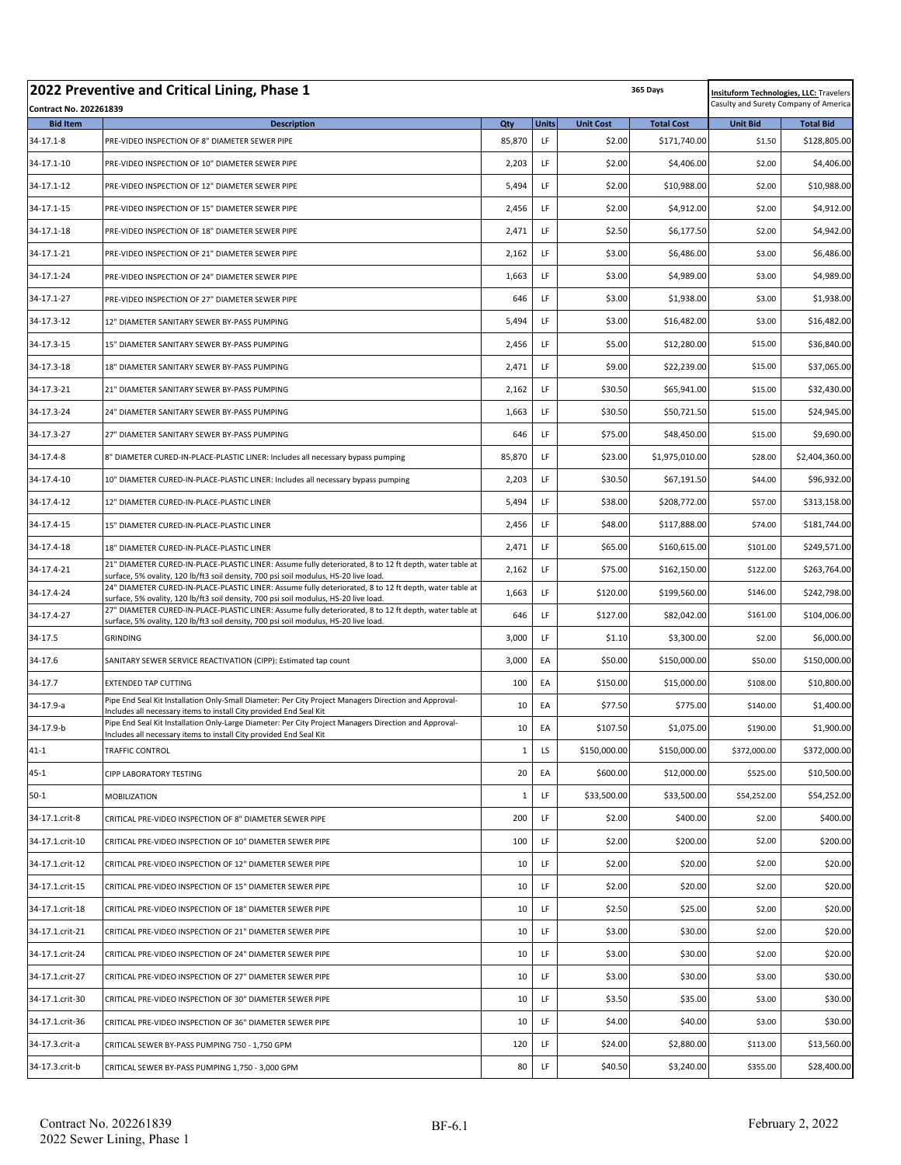|                                                  | 2022 Preventive and Critical Lining, Phase 1<br>365 Days                                                                                                                                       |              |              |                  |                   | <b>Insituform Technologies, LLC: Travelers</b><br>Casulty and Surety Company of America |                  |
|--------------------------------------------------|------------------------------------------------------------------------------------------------------------------------------------------------------------------------------------------------|--------------|--------------|------------------|-------------------|-----------------------------------------------------------------------------------------|------------------|
| <b>Contract No. 202261839</b><br><b>Bid Item</b> | <b>Description</b>                                                                                                                                                                             | Qty          | <b>Units</b> | <b>Unit Cost</b> | <b>Total Cost</b> | <b>Unit Bid</b>                                                                         | <b>Total Bid</b> |
| 34-17.1-8                                        | PRE-VIDEO INSPECTION OF 8" DIAMETER SEWER PIPE                                                                                                                                                 | 85,870       | LF           | \$2.00           | \$171,740.00      | \$1.50                                                                                  | \$128,805.00     |
| 34-17.1-10                                       | PRE-VIDEO INSPECTION OF 10" DIAMETER SEWER PIPE                                                                                                                                                | 2,203        | LF           | \$2.00           | \$4,406.00        | \$2.00                                                                                  | \$4,406.00       |
| 34-17.1-12                                       | PRE-VIDEO INSPECTION OF 12" DIAMETER SEWER PIPE                                                                                                                                                | 5,494        | LF           | \$2.00           | \$10,988.00       | \$2.00                                                                                  | \$10,988.00      |
| 34-17.1-15                                       | PRE-VIDEO INSPECTION OF 15" DIAMETER SEWER PIPE                                                                                                                                                | 2,456        | LF           | \$2.00           | \$4,912.00        | \$2.00                                                                                  | \$4,912.00       |
| 34-17.1-18                                       | PRE-VIDEO INSPECTION OF 18" DIAMETER SEWER PIPE                                                                                                                                                | 2,471        | LF           | \$2.50           | \$6,177.50        | \$2.00                                                                                  | \$4,942.00       |
| 34-17.1-21                                       | PRE-VIDEO INSPECTION OF 21" DIAMETER SEWER PIPE                                                                                                                                                | 2,162        | LF           | \$3.00           | \$6,486.00        | \$3.00                                                                                  | \$6,486.00       |
| 34-17.1-24                                       | PRE-VIDEO INSPECTION OF 24" DIAMETER SEWER PIPE                                                                                                                                                | 1,663        | LF           | \$3.00           | \$4,989.00        | \$3.00                                                                                  | \$4,989.00       |
| 34-17.1-27                                       | PRE-VIDEO INSPECTION OF 27" DIAMETER SEWER PIPE                                                                                                                                                | 646          | LF           | \$3.00           | \$1,938.00        | \$3.00                                                                                  | \$1,938.00       |
| 34-17.3-12                                       | 12" DIAMETER SANITARY SEWER BY-PASS PUMPING                                                                                                                                                    | 5,494        | LF           | \$3.00           | \$16,482.00       | \$3.00                                                                                  | \$16,482.00      |
| 34-17.3-15                                       | 15" DIAMETER SANITARY SEWER BY-PASS PUMPING                                                                                                                                                    | 2,456        | LF           | \$5.00           | \$12,280.00       | \$15.00                                                                                 | \$36,840.00      |
| 34-17.3-18                                       | 18" DIAMETER SANITARY SEWER BY-PASS PUMPING                                                                                                                                                    | 2,471        | LF           | \$9.00           | \$22,239.00       | \$15.00                                                                                 | \$37,065.00      |
| 34-17.3-21                                       | 21" DIAMETER SANITARY SEWER BY-PASS PUMPING                                                                                                                                                    | 2,162        | LF           | \$30.50          | \$65,941.00       | \$15.00                                                                                 | \$32,430.00      |
| 34-17.3-24                                       | 24" DIAMETER SANITARY SEWER BY-PASS PUMPING                                                                                                                                                    | 1,663        | LF           | \$30.50          | \$50,721.50       | \$15.00                                                                                 | \$24,945.00      |
| 34-17.3-27                                       | 27" DIAMETER SANITARY SEWER BY-PASS PUMPING                                                                                                                                                    | 646          | LF           | \$75.00          | \$48,450.00       | \$15.00                                                                                 | \$9,690.00       |
| 34-17.4-8                                        | 8" DIAMETER CURED-IN-PLACE-PLASTIC LINER: Includes all necessary bypass pumping                                                                                                                | 85,870       | LF           | \$23.00          | \$1,975,010.00    | \$28.00                                                                                 | \$2,404,360.00   |
| 34-17.4-10                                       | 10" DIAMETER CURED-IN-PLACE-PLASTIC LINER: Includes all necessary bypass pumping                                                                                                               | 2,203        | LF           | \$30.50          | \$67,191.50       | \$44.00                                                                                 | \$96,932.00      |
| 34-17.4-12                                       | 12" DIAMETER CURED-IN-PLACE-PLASTIC LINER                                                                                                                                                      | 5,494        | LF           | \$38.00          | \$208,772.00      | \$57.00                                                                                 | \$313,158.00     |
| 34-17.4-15                                       | 15" DIAMETER CURED-IN-PLACE-PLASTIC LINER                                                                                                                                                      | 2,456        | LF           | \$48.00          | \$117,888.00      | \$74.00                                                                                 | \$181,744.00     |
| 34-17.4-18                                       | 18" DIAMETER CURED-IN-PLACE-PLASTIC LINER                                                                                                                                                      | 2,471        | LF           | \$65.00          | \$160,615.00      | \$101.00                                                                                | \$249,571.00     |
| 34-17.4-21                                       | 21" DIAMETER CURED-IN-PLACE-PLASTIC LINER: Assume fully deteriorated, 8 to 12 ft depth, water table at<br>surface, 5% ovality, 120 lb/ft3 soil density, 700 psi soil modulus, HS-20 live load. | 2,162        | LF           | \$75.00          | \$162,150.00      | \$122.00                                                                                | \$263,764.00     |
| 34-17.4-24                                       | 24" DIAMETER CURED-IN-PLACE-PLASTIC LINER: Assume fully deteriorated, 8 to 12 ft depth, water table at<br>surface, 5% ovality, 120 lb/ft3 soil density, 700 psi soil modulus, HS-20 live load. | 1,663        | LF           | \$120.00         | \$199,560.00      | \$146.00                                                                                | \$242,798.00     |
| 34-17.4-27                                       | 27" DIAMETER CURED-IN-PLACE-PLASTIC LINER: Assume fully deteriorated, 8 to 12 ft depth, water table at<br>surface, 5% ovality, 120 lb/ft3 soil density, 700 psi soil modulus, HS-20 live load. | 646          | LF           | \$127.00         | \$82,042.00       | \$161.00                                                                                | \$104,006.00     |
| 34-17.5                                          | <b>GRINDING</b>                                                                                                                                                                                | 3,000        | LF           | \$1.10           | \$3,300.00        | \$2.00                                                                                  | \$6,000.00       |
| 34-17.6                                          | SANITARY SEWER SERVICE REACTIVATION (CIPP): Estimated tap count                                                                                                                                | 3,000        | EA           | \$50.00          | \$150,000.00      | \$50.00                                                                                 | \$150,000.00     |
| 34-17.7                                          | <b>EXTENDED TAP CUTTING</b>                                                                                                                                                                    | 100          | EA           | \$150.00         | \$15,000.00       | \$108.00                                                                                | \$10,800.00      |
| 34-17.9-a                                        | Pipe End Seal Kit Installation Only-Small Diameter: Per City Project Managers Direction and Approval-<br>Includes all necessary items to install City provided End Seal Kit                    | 10           | EA           | \$77.50          | \$775.00          | \$140.00                                                                                | \$1,400.00       |
| 34-17.9-b                                        | Pipe End Seal Kit Installation Only-Large Diameter: Per City Project Managers Direction and Approval-<br>Includes all necessary items to install City provided End Seal Kit                    | 10           | EA           | \$107.50         | \$1,075.00        | \$190.00                                                                                | \$1,900.00       |
| 41-1                                             | <b>TRAFFIC CONTROL</b>                                                                                                                                                                         | 1            | LS           | \$150,000.00     | \$150,000.00      | \$372,000.00                                                                            | \$372,000.00     |
| $45 - 1$                                         | <b>CIPP LABORATORY TESTING</b>                                                                                                                                                                 | 20           | EA           | \$600.00         | \$12,000.00       | \$525.00                                                                                | \$10,500.00      |
| $50-1$                                           | <b>MOBILIZATION</b>                                                                                                                                                                            | $\mathbf{1}$ | LF           | \$33,500.00      | \$33,500.00       | \$54,252.00                                                                             | \$54,252.00      |
| 34-17.1.crit-8                                   | CRITICAL PRE-VIDEO INSPECTION OF 8" DIAMETER SEWER PIPE                                                                                                                                        | 200          | LF.          | \$2.00           | \$400.00          | \$2.00                                                                                  | \$400.00         |
| 34-17.1.crit-10                                  | CRITICAL PRE-VIDEO INSPECTION OF 10" DIAMETER SEWER PIPE                                                                                                                                       | 100          | LF           | \$2.00           | \$200.00          | \$2.00                                                                                  | \$200.00         |
| 34-17.1.crit-12                                  | CRITICAL PRE-VIDEO INSPECTION OF 12" DIAMETER SEWER PIPE                                                                                                                                       | 10           | LF           | \$2.00           | \$20.00           | \$2.00                                                                                  | \$20.00          |
| 34-17.1.crit-15                                  | CRITICAL PRE-VIDEO INSPECTION OF 15" DIAMETER SEWER PIPE                                                                                                                                       | 10           | LF           | \$2.00           | \$20.00           | \$2.00                                                                                  | \$20.00          |
| 34-17.1.crit-18                                  | CRITICAL PRE-VIDEO INSPECTION OF 18" DIAMETER SEWER PIPE                                                                                                                                       | 10           | LF           | \$2.50           | \$25.00           | \$2.00                                                                                  | \$20.00          |
| 34-17.1.crit-21                                  | CRITICAL PRE-VIDEO INSPECTION OF 21" DIAMETER SEWER PIPE                                                                                                                                       | 10           | LF           | \$3.00           | \$30.00           | \$2.00                                                                                  | \$20.00          |
| 34-17.1.crit-24                                  | CRITICAL PRE-VIDEO INSPECTION OF 24" DIAMETER SEWER PIPE                                                                                                                                       | 10           | LF           | \$3.00           | \$30.00           | \$2.00                                                                                  | \$20.00          |
| 34-17.1.crit-27                                  | CRITICAL PRE-VIDEO INSPECTION OF 27" DIAMETER SEWER PIPE                                                                                                                                       | 10           | LF.          | \$3.00           | \$30.00           | \$3.00                                                                                  | \$30.00          |
| 34-17.1.crit-30                                  | CRITICAL PRE-VIDEO INSPECTION OF 30" DIAMETER SEWER PIPE                                                                                                                                       | 10           | LF.          | \$3.50           | \$35.00           | \$3.00                                                                                  | \$30.00          |
| 34-17.1.crit-36                                  | CRITICAL PRE-VIDEO INSPECTION OF 36" DIAMETER SEWER PIPE                                                                                                                                       | 10           | LF.          | \$4.00           | \$40.00           | \$3.00                                                                                  | \$30.00          |
| 34-17.3.crit-a                                   | CRITICAL SEWER BY-PASS PUMPING 750 - 1,750 GPM                                                                                                                                                 | 120          | LF           | \$24.00          | \$2,880.00        | \$113.00                                                                                | \$13,560.00      |
| 34-17.3.crit-b                                   | CRITICAL SEWER BY-PASS PUMPING 1,750 - 3,000 GPM                                                                                                                                               | 80           | LF           | \$40.50          | \$3,240.00        | \$355.00                                                                                | \$28,400.00      |